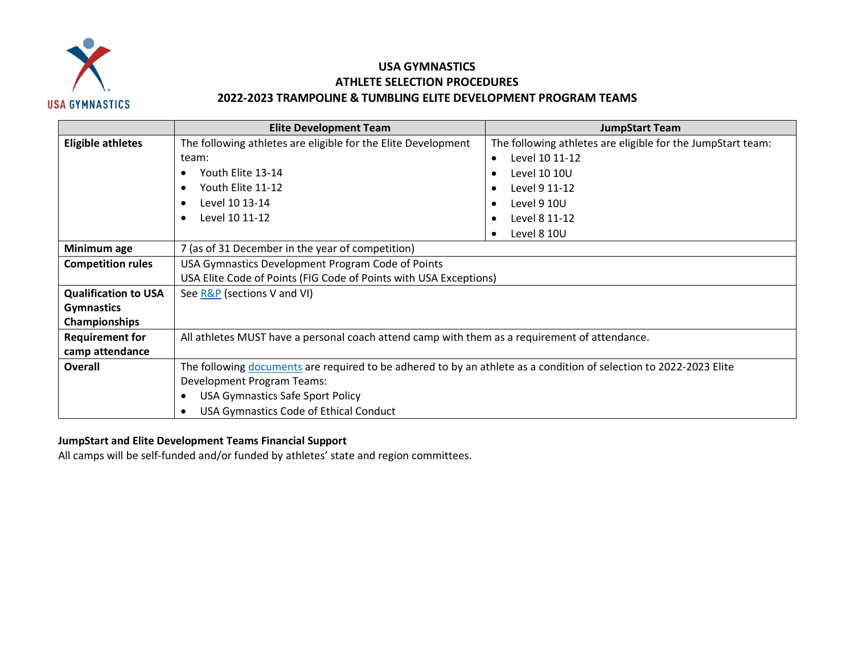

## **USA GYMNASTICS ATHLETE SELECTION PROCEDURES 2022-2023 TRAMPOLINE & TUMBLING ELITE DEVELOPMENT PROGRAM TEAMS**

|                             | <b>Elite Development Team</b>                                                                                      | <b>JumpStart Team</b>                                       |  |
|-----------------------------|--------------------------------------------------------------------------------------------------------------------|-------------------------------------------------------------|--|
| <b>Eligible athletes</b>    | The following athletes are eligible for the Elite Development                                                      | The following athletes are eligible for the JumpStart team: |  |
|                             | team:                                                                                                              | Level 10 11-12<br>$\bullet$                                 |  |
|                             | Youth Elite 13-14                                                                                                  | Level 10 10U                                                |  |
|                             | Youth Elite 11-12                                                                                                  | Level 9 11-12                                               |  |
|                             | Level 10 13-14                                                                                                     | Level 9 10U                                                 |  |
|                             | Level 10 11-12                                                                                                     | Level 8 11-12                                               |  |
|                             |                                                                                                                    | Level 8 10U                                                 |  |
| Minimum age                 | 7 (as of 31 December in the year of competition)                                                                   |                                                             |  |
| <b>Competition rules</b>    | USA Gymnastics Development Program Code of Points                                                                  |                                                             |  |
|                             | USA Elite Code of Points (FIG Code of Points with USA Exceptions)                                                  |                                                             |  |
| <b>Qualification to USA</b> | See R&P (sections V and VI)                                                                                        |                                                             |  |
| <b>Gymnastics</b>           |                                                                                                                    |                                                             |  |
| Championships               |                                                                                                                    |                                                             |  |
| <b>Requirement for</b>      | All athletes MUST have a personal coach attend camp with them as a requirement of attendance.                      |                                                             |  |
| camp attendance             |                                                                                                                    |                                                             |  |
| <b>Overall</b>              | The following documents are required to be adhered to by an athlete as a condition of selection to 2022-2023 Elite |                                                             |  |
|                             | <b>Development Program Teams:</b>                                                                                  |                                                             |  |
|                             | <b>USA Gymnastics Safe Sport Policy</b>                                                                            |                                                             |  |
|                             | USA Gymnastics Code of Ethical Conduct                                                                             |                                                             |  |

## **JumpStart and Elite Development Teams Financial Support**

All camps will be self-funded and/or funded by athletes' state and region committees.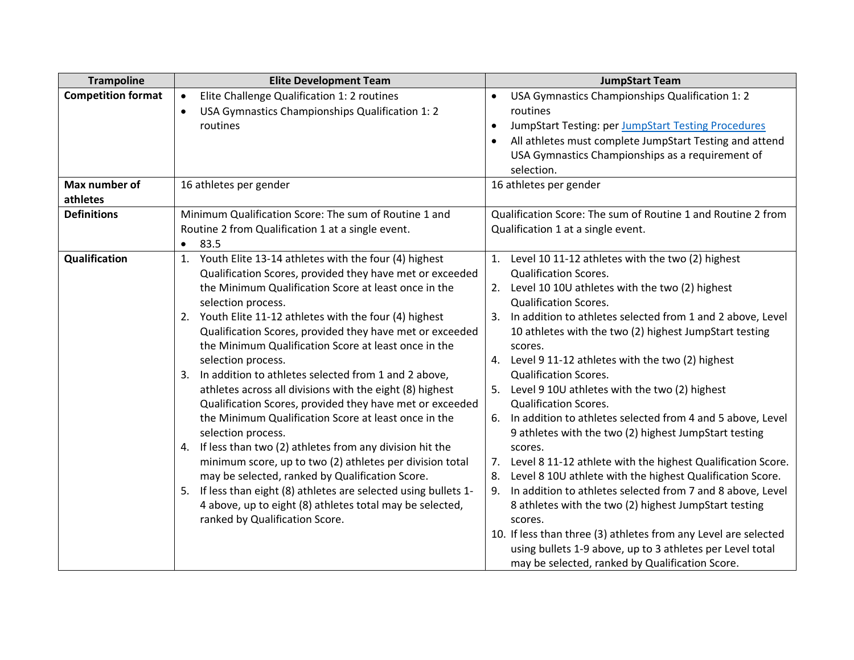| <b>Trampoline</b>         | <b>Elite Development Team</b>                                       | <b>JumpStart Team</b>                                                                                                        |
|---------------------------|---------------------------------------------------------------------|------------------------------------------------------------------------------------------------------------------------------|
| <b>Competition format</b> | Elite Challenge Qualification 1: 2 routines<br>$\bullet$            | USA Gymnastics Championships Qualification 1: 2<br>$\bullet$                                                                 |
|                           | USA Gymnastics Championships Qualification 1: 2<br>$\bullet$        | routines                                                                                                                     |
|                           | routines                                                            | JumpStart Testing: per JumpStart Testing Procedures                                                                          |
|                           |                                                                     | All athletes must complete JumpStart Testing and attend                                                                      |
|                           |                                                                     | USA Gymnastics Championships as a requirement of                                                                             |
|                           |                                                                     | selection.                                                                                                                   |
| Max number of             | 16 athletes per gender                                              | 16 athletes per gender                                                                                                       |
| athletes                  |                                                                     |                                                                                                                              |
| <b>Definitions</b>        | Minimum Qualification Score: The sum of Routine 1 and               | Qualification Score: The sum of Routine 1 and Routine 2 from                                                                 |
|                           | Routine 2 from Qualification 1 at a single event.                   | Qualification 1 at a single event.                                                                                           |
|                           | 83.5<br>$\bullet$                                                   |                                                                                                                              |
| Qualification             | 1. Youth Elite 13-14 athletes with the four (4) highest             | 1. Level 10 11-12 athletes with the two (2) highest                                                                          |
|                           | Qualification Scores, provided they have met or exceeded            | <b>Qualification Scores.</b>                                                                                                 |
|                           | the Minimum Qualification Score at least once in the                | 2. Level 10 10U athletes with the two (2) highest                                                                            |
|                           | selection process.                                                  | <b>Qualification Scores.</b>                                                                                                 |
|                           | Youth Elite 11-12 athletes with the four (4) highest<br>2.          | 3. In addition to athletes selected from 1 and 2 above, Level                                                                |
|                           | Qualification Scores, provided they have met or exceeded            | 10 athletes with the two (2) highest JumpStart testing                                                                       |
|                           | the Minimum Qualification Score at least once in the                | scores.                                                                                                                      |
|                           | selection process.                                                  | 4. Level 9 11-12 athletes with the two (2) highest                                                                           |
|                           | In addition to athletes selected from 1 and 2 above,<br>3.          | <b>Qualification Scores.</b>                                                                                                 |
|                           | athletes across all divisions with the eight (8) highest            | 5. Level 9 10U athletes with the two (2) highest                                                                             |
|                           | Qualification Scores, provided they have met or exceeded            | <b>Qualification Scores.</b>                                                                                                 |
|                           | the Minimum Qualification Score at least once in the                | 6. In addition to athletes selected from 4 and 5 above, Level                                                                |
|                           | selection process.                                                  | 9 athletes with the two (2) highest JumpStart testing                                                                        |
|                           | If less than two (2) athletes from any division hit the<br>4.       | scores.                                                                                                                      |
|                           | minimum score, up to two (2) athletes per division total            | 7. Level 8 11-12 athlete with the highest Qualification Score.                                                               |
|                           | may be selected, ranked by Qualification Score.                     | Level 8 10U athlete with the highest Qualification Score.<br>8.                                                              |
|                           | If less than eight (8) athletes are selected using bullets 1-<br>5. | In addition to athletes selected from 7 and 8 above, Level<br>9.                                                             |
|                           | 4 above, up to eight (8) athletes total may be selected,            | 8 athletes with the two (2) highest JumpStart testing                                                                        |
|                           | ranked by Qualification Score.                                      | scores.                                                                                                                      |
|                           |                                                                     | 10. If less than three (3) athletes from any Level are selected<br>using bullets 1-9 above, up to 3 athletes per Level total |
|                           |                                                                     |                                                                                                                              |
|                           |                                                                     | may be selected, ranked by Qualification Score.                                                                              |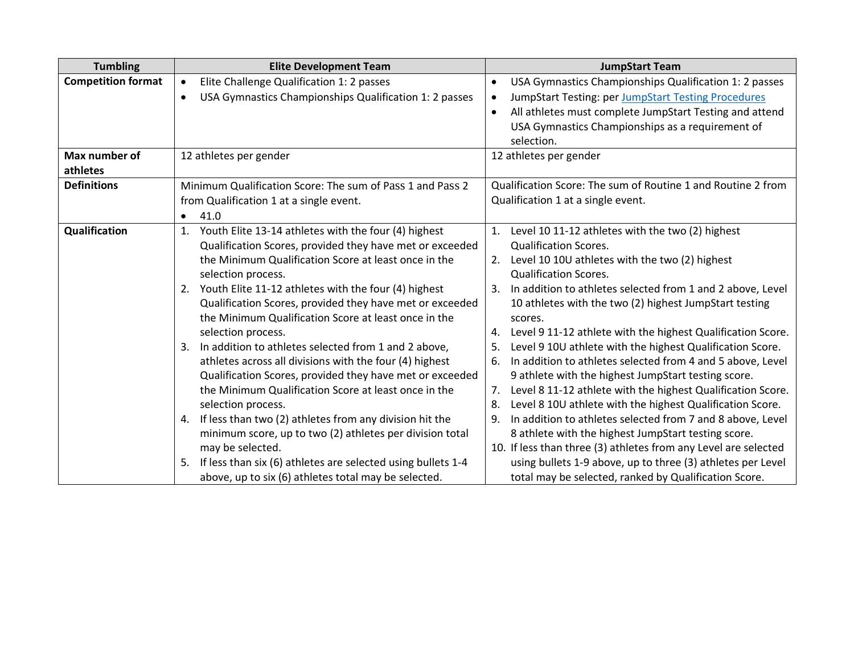| <b>Tumbling</b>           | <b>Elite Development Team</b>                                       | <b>JumpStart Team</b>                                                |
|---------------------------|---------------------------------------------------------------------|----------------------------------------------------------------------|
| <b>Competition format</b> | Elite Challenge Qualification 1: 2 passes                           | USA Gymnastics Championships Qualification 1: 2 passes<br>$\bullet$  |
|                           | USA Gymnastics Championships Qualification 1: 2 passes<br>$\bullet$ | JumpStart Testing: per JumpStart Testing Procedures<br>$\bullet$     |
|                           |                                                                     | All athletes must complete JumpStart Testing and attend<br>$\bullet$ |
|                           |                                                                     | USA Gymnastics Championships as a requirement of                     |
|                           |                                                                     | selection.                                                           |
| Max number of             | 12 athletes per gender                                              | 12 athletes per gender                                               |
| athletes                  |                                                                     |                                                                      |
| <b>Definitions</b>        | Minimum Qualification Score: The sum of Pass 1 and Pass 2           | Qualification Score: The sum of Routine 1 and Routine 2 from         |
|                           | from Qualification 1 at a single event.                             | Qualification 1 at a single event.                                   |
|                           | 41.0<br>$\bullet$                                                   |                                                                      |
| Qualification             | Youth Elite 13-14 athletes with the four (4) highest<br>1.          | Level 10 11-12 athletes with the two (2) highest<br>1.               |
|                           | Qualification Scores, provided they have met or exceeded            | <b>Qualification Scores.</b>                                         |
|                           | the Minimum Qualification Score at least once in the                | Level 10 10U athletes with the two (2) highest<br>2.                 |
|                           | selection process.                                                  | <b>Qualification Scores.</b>                                         |
|                           | Youth Elite 11-12 athletes with the four (4) highest<br>2.          | In addition to athletes selected from 1 and 2 above, Level<br>-3.    |
|                           | Qualification Scores, provided they have met or exceeded            | 10 athletes with the two (2) highest JumpStart testing               |
|                           | the Minimum Qualification Score at least once in the                | scores.                                                              |
|                           | selection process.                                                  | Level 9 11-12 athlete with the highest Qualification Score.          |
|                           | In addition to athletes selected from 1 and 2 above,<br>3.          | Level 9 10U athlete with the highest Qualification Score.<br>5.      |
|                           | athletes across all divisions with the four (4) highest             | In addition to athletes selected from 4 and 5 above, Level<br>6.     |
|                           | Qualification Scores, provided they have met or exceeded            | 9 athlete with the highest JumpStart testing score.                  |
|                           | the Minimum Qualification Score at least once in the                | Level 8 11-12 athlete with the highest Qualification Score.<br>7.    |
|                           | selection process.                                                  | Level 8 10U athlete with the highest Qualification Score.<br>8.      |
|                           | If less than two (2) athletes from any division hit the<br>4.       | In addition to athletes selected from 7 and 8 above, Level<br>9.     |
|                           | minimum score, up to two (2) athletes per division total            | 8 athlete with the highest JumpStart testing score.                  |
|                           | may be selected.                                                    | 10. If less than three (3) athletes from any Level are selected      |
|                           | If less than six (6) athletes are selected using bullets 1-4<br>5.  | using bullets 1-9 above, up to three (3) athletes per Level          |
|                           | above, up to six (6) athletes total may be selected.                | total may be selected, ranked by Qualification Score.                |